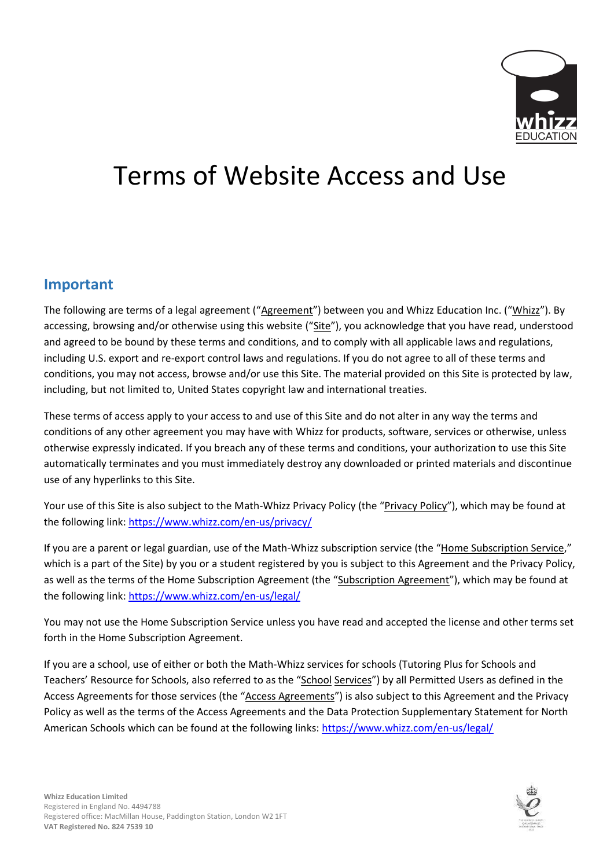

# Terms of Website Access and Use

#### **Important**

The following are terms of a legal agreement ("Agreement") between you and Whizz Education Inc. ("Whizz"). By accessing, browsing and/or otherwise using this website ("Site"), you acknowledge that you have read, understood and agreed to be bound by these terms and conditions, and to comply with all applicable laws and regulations, including U.S. export and re-export control laws and regulations. If you do not agree to all of these terms and conditions, you may not access, browse and/or use this Site. The material provided on this Site is protected by law, including, but not limited to, United States copyright law and international treaties.

These terms of access apply to your access to and use of this Site and do not alter in any way the terms and conditions of any other agreement you may have with Whizz for products, software, services or otherwise, unless otherwise expressly indicated. If you breach any of these terms and conditions, your authorization to use this Site automatically terminates and you must immediately destroy any downloaded or printed materials and discontinue use of any hyperlinks to this Site.

Your use of this Site is also subject to the Math-Whizz Privacy Policy (the "Privacy Policy"), which may be found at the following link:<https://www.whizz.com/en-us/privacy/>

If you are a parent or legal guardian, use of the Math-Whizz subscription service (the "Home Subscription Service," which is a part of the Site) by you or a student registered by you is subject to this Agreement and the Privacy Policy, as well as the terms of the Home Subscription Agreement (the "Subscription Agreement"), which may be found at the following link:<https://www.whizz.com/en-us/legal/>

You may not use the Home Subscription Service unless you have read and accepted the license and other terms set forth in the Home Subscription Agreement.

If you are a school, use of either or both the Math-Whizz services for schools (Tutoring Plus for Schools and Teachers' Resource for Schools, also referred to as the "School Services") by all Permitted Users as defined in the Access Agreements for those services (the "Access Agreements") is also subject to this Agreement and the Privacy Policy as well as the terms of the Access Agreements and the Data Protection Supplementary Statement for North American Schools which can be found at the following links:<https://www.whizz.com/en-us/legal/>

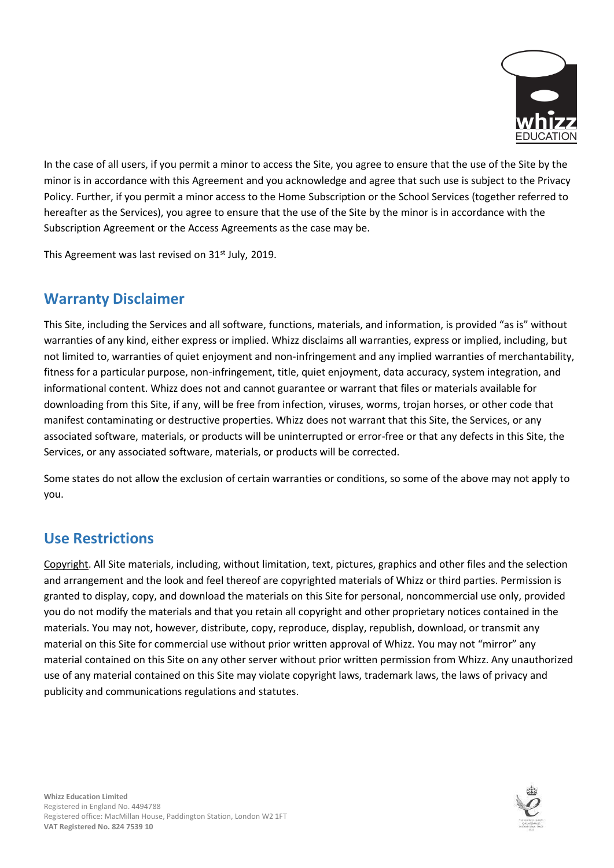

In the case of all users, if you permit a minor to access the Site, you agree to ensure that the use of the Site by the minor is in accordance with this Agreement and you acknowledge and agree that such use is subject to the Privacy Policy. Further, if you permit a minor access to the Home Subscription or the School Services (together referred to hereafter as the Services), you agree to ensure that the use of the Site by the minor is in accordance with the Subscription Agreement or the Access Agreements as the case may be.

This Agreement was last revised on 31<sup>st</sup> July, 2019.

# **Warranty Disclaimer**

This Site, including the Services and all software, functions, materials, and information, is provided "as is" without warranties of any kind, either express or implied. Whizz disclaims all warranties, express or implied, including, but not limited to, warranties of quiet enjoyment and non-infringement and any implied warranties of merchantability, fitness for a particular purpose, non-infringement, title, quiet enjoyment, data accuracy, system integration, and informational content. Whizz does not and cannot guarantee or warrant that files or materials available for downloading from this Site, if any, will be free from infection, viruses, worms, trojan horses, or other code that manifest contaminating or destructive properties. Whizz does not warrant that this Site, the Services, or any associated software, materials, or products will be uninterrupted or error-free or that any defects in this Site, the Services, or any associated software, materials, or products will be corrected.

Some states do not allow the exclusion of certain warranties or conditions, so some of the above may not apply to you.

# **Use Restrictions**

Copyright. All Site materials, including, without limitation, text, pictures, graphics and other files and the selection and arrangement and the look and feel thereof are copyrighted materials of Whizz or third parties. Permission is granted to display, copy, and download the materials on this Site for personal, noncommercial use only, provided you do not modify the materials and that you retain all copyright and other proprietary notices contained in the materials. You may not, however, distribute, copy, reproduce, display, republish, download, or transmit any material on this Site for commercial use without prior written approval of Whizz. You may not "mirror" any material contained on this Site on any other server without prior written permission from Whizz. Any unauthorized use of any material contained on this Site may violate copyright laws, trademark laws, the laws of privacy and publicity and communications regulations and statutes.

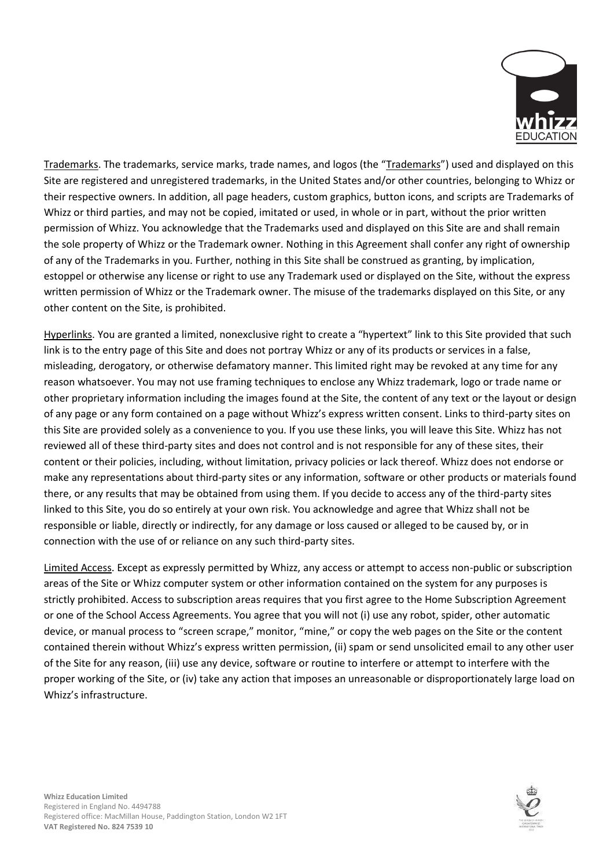

Trademarks. The trademarks, service marks, trade names, and logos (the "Trademarks") used and displayed on this Site are registered and unregistered trademarks, in the United States and/or other countries, belonging to Whizz or their respective owners. In addition, all page headers, custom graphics, button icons, and scripts are Trademarks of Whizz or third parties, and may not be copied, imitated or used, in whole or in part, without the prior written permission of Whizz. You acknowledge that the Trademarks used and displayed on this Site are and shall remain the sole property of Whizz or the Trademark owner. Nothing in this Agreement shall confer any right of ownership of any of the Trademarks in you. Further, nothing in this Site shall be construed as granting, by implication, estoppel or otherwise any license or right to use any Trademark used or displayed on the Site, without the express written permission of Whizz or the Trademark owner. The misuse of the trademarks displayed on this Site, or any other content on the Site, is prohibited.

Hyperlinks. You are granted a limited, nonexclusive right to create a "hypertext" link to this Site provided that such link is to the entry page of this Site and does not portray Whizz or any of its products or services in a false, misleading, derogatory, or otherwise defamatory manner. This limited right may be revoked at any time for any reason whatsoever. You may not use framing techniques to enclose any Whizz trademark, logo or trade name or other proprietary information including the images found at the Site, the content of any text or the layout or design of any page or any form contained on a page without Whizz's express written consent. Links to third-party sites on this Site are provided solely as a convenience to you. If you use these links, you will leave this Site. Whizz has not reviewed all of these third-party sites and does not control and is not responsible for any of these sites, their content or their policies, including, without limitation, privacy policies or lack thereof. Whizz does not endorse or make any representations about third-party sites or any information, software or other products or materials found there, or any results that may be obtained from using them. If you decide to access any of the third-party sites linked to this Site, you do so entirely at your own risk. You acknowledge and agree that Whizz shall not be responsible or liable, directly or indirectly, for any damage or loss caused or alleged to be caused by, or in connection with the use of or reliance on any such third-party sites.

Limited Access. Except as expressly permitted by Whizz, any access or attempt to access non-public or subscription areas of the Site or Whizz computer system or other information contained on the system for any purposes is strictly prohibited. Access to subscription areas requires that you first agree to the Home Subscription Agreement or one of the School Access Agreements. You agree that you will not (i) use any robot, spider, other automatic device, or manual process to "screen scrape," monitor, "mine," or copy the web pages on the Site or the content contained therein without Whizz's express written permission, (ii) spam or send unsolicited email to any other user of the Site for any reason, (iii) use any device, software or routine to interfere or attempt to interfere with the proper working of the Site, or (iv) take any action that imposes an unreasonable or disproportionately large load on Whizz's infrastructure.



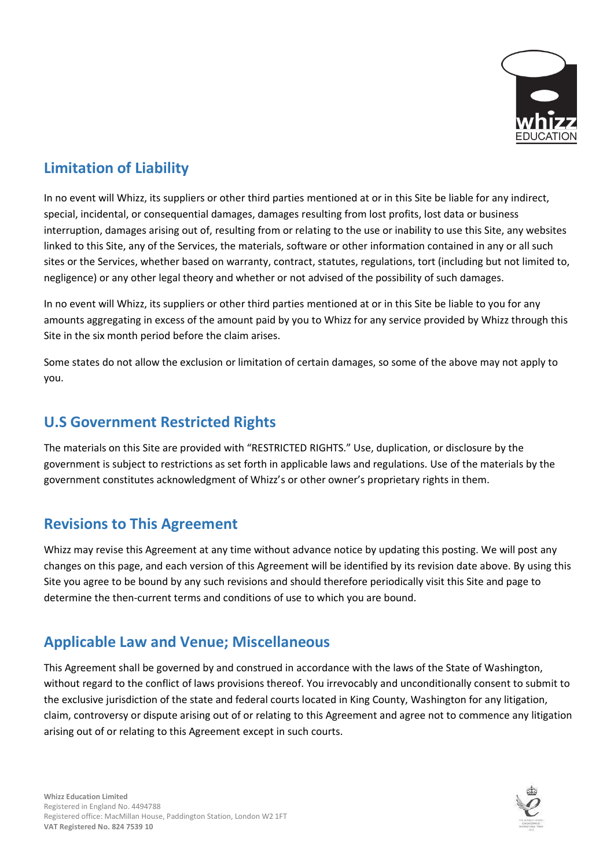

# **Limitation of Liability**

In no event will Whizz, its suppliers or other third parties mentioned at or in this Site be liable for any indirect, special, incidental, or consequential damages, damages resulting from lost profits, lost data or business interruption, damages arising out of, resulting from or relating to the use or inability to use this Site, any websites linked to this Site, any of the Services, the materials, software or other information contained in any or all such sites or the Services, whether based on warranty, contract, statutes, regulations, tort (including but not limited to, negligence) or any other legal theory and whether or not advised of the possibility of such damages.

In no event will Whizz, its suppliers or other third parties mentioned at or in this Site be liable to you for any amounts aggregating in excess of the amount paid by you to Whizz for any service provided by Whizz through this Site in the six month period before the claim arises.

Some states do not allow the exclusion or limitation of certain damages, so some of the above may not apply to you.

### **U.S Government Restricted Rights**

The materials on this Site are provided with "RESTRICTED RIGHTS." Use, duplication, or disclosure by the government is subject to restrictions as set forth in applicable laws and regulations. Use of the materials by the government constitutes acknowledgment of Whizz's or other owner's proprietary rights in them.

# **Revisions to This Agreement**

Whizz may revise this Agreement at any time without advance notice by updating this posting. We will post any changes on this page, and each version of this Agreement will be identified by its revision date above. By using this Site you agree to be bound by any such revisions and should therefore periodically visit this Site and page to determine the then-current terms and conditions of use to which you are bound.

# **Applicable Law and Venue; Miscellaneous**

This Agreement shall be governed by and construed in accordance with the laws of the State of Washington, without regard to the conflict of laws provisions thereof. You irrevocably and unconditionally consent to submit to the exclusive jurisdiction of the state and federal courts located in King County, Washington for any litigation, claim, controversy or dispute arising out of or relating to this Agreement and agree not to commence any litigation arising out of or relating to this Agreement except in such courts.